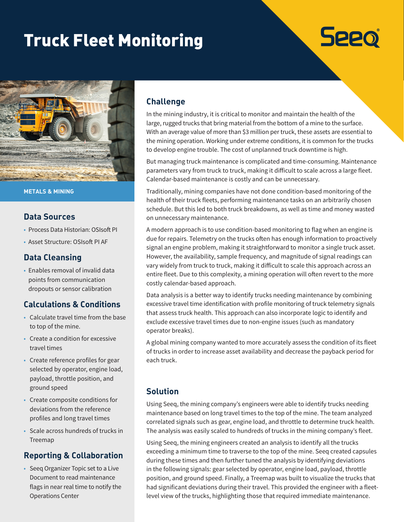# Truck Fleet Monitoring



**METALS & MINING**

#### **Data Sources**

- Process Data Historian: OSIsoft PI
- Asset Structure: OSIsoft PI AF

### **Data Cleansing**

• Enables removal of invalid data points from communication dropouts or sensor calibration

## **Calculations & Conditions**

- Calculate travel time from the base to top of the mine.
- Create a condition for excessive travel times
- Create reference profiles for gear selected by operator, engine load, payload, throttle position, and ground speed
- Create composite conditions for deviations from the reference profiles and long travel times
- Scale across hundreds of trucks in Treemap

## **Reporting & Collaboration**

• Seeq Organizer Topic set to a Live Document to read maintenance flags in near real time to notify the Operations Center

### **Challenge**

In the mining industry, it is critical to monitor and maintain the health of the large, rugged trucks that bring material from the bottom of a mine to the surface. With an average value of more than \$3 million per truck, these assets are essential to the mining operation. Working under extreme conditions, it is common for the trucks to develop engine trouble. The cost of unplanned truck downtime is high.

**Seeo** 

But managing truck maintenance is complicated and time-consuming. Maintenance parameters vary from truck to truck, making it difficult to scale across a large fleet. Calendar-based maintenance is costly and can be unnecessary.

Traditionally, mining companies have not done condition-based monitoring of the health of their truck fleets, performing maintenance tasks on an arbitrarily chosen schedule. But this led to both truck breakdowns, as well as time and money wasted on unnecessary maintenance.

A modern approach is to use condition-based monitoring to flag when an engine is due for repairs. Telemetry on the trucks often has enough information to proactively signal an engine problem, making it straightforward to monitor a single truck asset. However, the availability, sample frequency, and magnitude of signal readings can vary widely from truck to truck, making it difficult to scale this approach across an entire fleet. Due to this complexity, a mining operation will often revert to the more costly calendar-based approach.

Data analysis is a better way to identify trucks needing maintenance by combining excessive travel time identification with profile monitoring of truck telemetry signals that assess truck health. This approach can also incorporate logic to identify and exclude excessive travel times due to non-engine issues (such as mandatory operator breaks).

A global mining company wanted to more accurately assess the condition of its fleet of trucks in order to increase asset availability and decrease the payback period for each truck.

## **Solution**

Using Seeq, the mining company's engineers were able to identify trucks needing maintenance based on long travel times to the top of the mine. The team analyzed correlated signals such as gear, engine load, and throttle to determine truck health. The analysis was easily scaled to hundreds of trucks in the mining company's fleet.

Using Seeq, the mining engineers created an analysis to identify all the trucks exceeding a minimum time to traverse to the top of the mine. Seeq created capsules during these times and then further tuned the analysis by identifying deviations in the following signals: gear selected by operator, engine load, payload, throttle position, and ground speed. Finally, a Treemap was built to visualize the trucks that had significant deviations during their travel. This provided the engineer with a fleetlevel view of the trucks, highlighting those that required immediate maintenance.